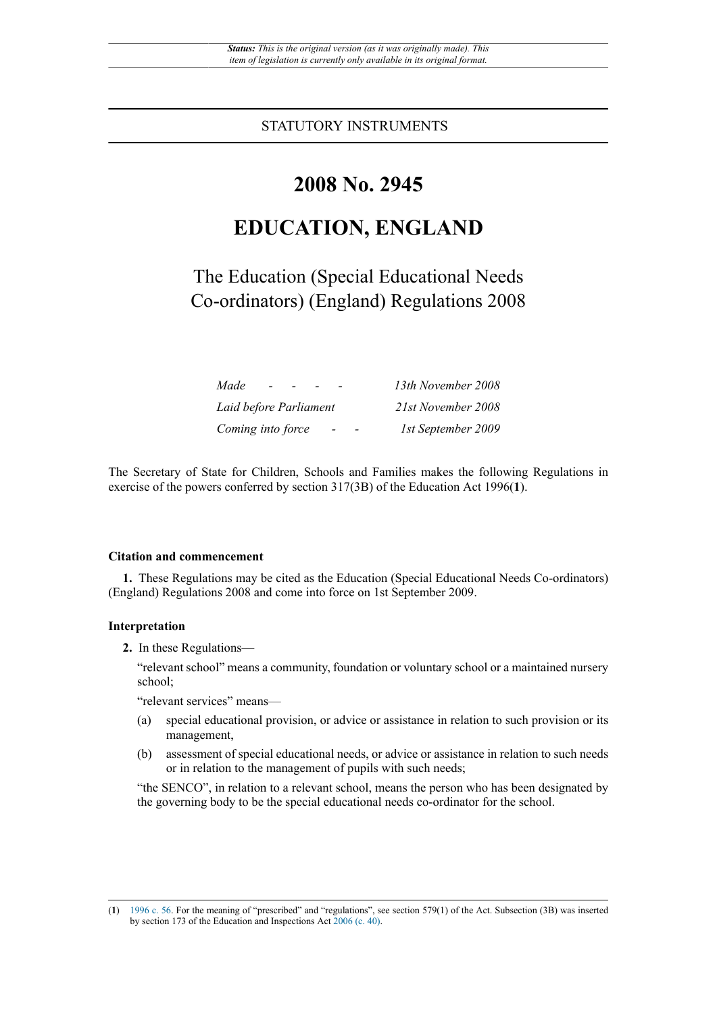STATUTORY INSTRUMENTS

## **2008 No. 2945**

# **EDUCATION, ENGLAND**

The Education (Special Educational Needs Co-ordinators) (England) Regulations 2008

| Made<br>$\overline{\phantom{a}}$                                          | 13th November 2008 |
|---------------------------------------------------------------------------|--------------------|
| Laid before Parliament                                                    | 21st November 2008 |
| Coming into force<br>$\overline{\phantom{0}}$<br>$\overline{\phantom{0}}$ | 1st September 2009 |

The Secretary of State for Children, Schools and Families makes the following Regulations in exercise of the powers conferred by section 317(3B) of the Education Act 1996(**1**).

#### **Citation and commencement**

**1.** These Regulations may be cited as the Education (Special Educational Needs Co-ordinators) (England) Regulations 2008 and come into force on 1st September 2009.

### **Interpretation**

**2.** In these Regulations—

"relevant school" means a community, foundation or voluntary school or a maintained nursery school;

"relevant services" means—

- (a) special educational provision, or advice or assistance in relation to such provision or its management,
- (b) assessment of special educational needs, or advice or assistance in relation to such needs or in relation to the management of pupils with such needs;

"the SENCO", in relation to a relevant school, means the person who has been designated by the governing body to be the special educational needs co-ordinator for the school.

<sup>(</sup>**1**) 1996 c. 56. For the meaning of "prescribed" and "regulations", see section 579(1) of the Act. Subsection (3B) was inserted by section 173 of the Education and Inspections Act 2006 (c. 40).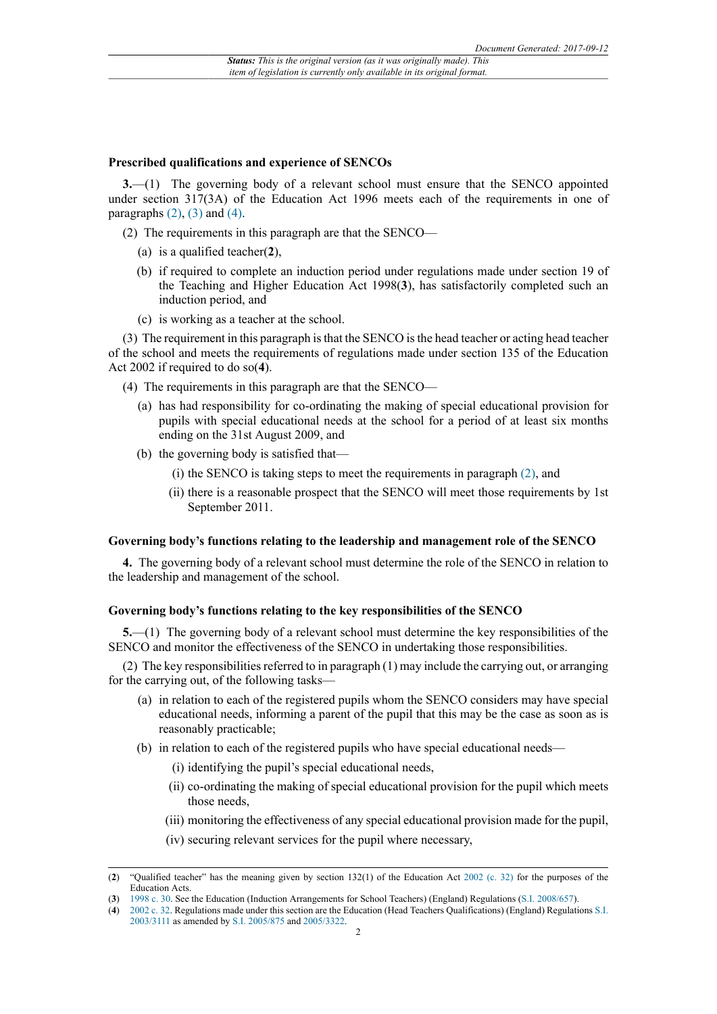#### **Prescribed qualifications and experience of SENCOs**

**3.**—(1) The governing body of a relevant school must ensure that the SENCO appointed under section 317(3A) of the Education Act 1996 meets each of the requirements in one of paragraphs  $(2)$ ,  $(3)$  and  $(4)$ .

- (2) The requirements in this paragraph are that the SENCO—
	- (a) is a qualified teacher(**2**),
	- (b) if required to complete an induction period under regulations made under section 19 of the Teaching and Higher Education Act 1998(**3**), has satisfactorily completed such an induction period, and
	- (c) is working as a teacher at the school.

(3) The requirement in this paragraph is that the SENCO is the head teacher or acting head teacher of the school and meets the requirements of regulations made under section 135 of the Education Act 2002 if required to do so(**4**).

- (4) The requirements in this paragraph are that the SENCO—
	- (a) has had responsibility for co-ordinating the making of special educational provision for pupils with special educational needs at the school for a period of at least six months ending on the 31st August 2009, and
	- (b) the governing body is satisfied that—
		- (i) the SENCO is taking steps to meet the requirements in paragraph (2), and
		- (ii) there is a reasonable prospect that the SENCO will meet those requirements by 1st September 2011.

#### **Governing body's functions relating to the leadership and management role of the SENCO**

**4.** The governing body of a relevant school must determine the role of the SENCO in relation to the leadership and management of the school.

### **Governing body's functions relating to the key responsibilities of the SENCO**

**5.**—(1) The governing body of a relevant school must determine the key responsibilities of the SENCO and monitor the effectiveness of the SENCO in undertaking those responsibilities.

(2) The key responsibilities referred to in paragraph (1) may include the carrying out, or arranging for the carrying out, of the following tasks—

- (a) in relation to each of the registered pupils whom the SENCO considers may have special educational needs, informing a parent of the pupil that this may be the case as soon as is reasonably practicable;
- (b) in relation to each of the registered pupils who have special educational needs—
	- (i) identifying the pupil's special educational needs,
	- (ii) co-ordinating the making of special educational provision for the pupil which meets those needs,
	- (iii) monitoring the effectiveness of any special educational provision made for the pupil,
	- (iv) securing relevant services for the pupil where necessary,

<sup>(</sup>**2**) "Qualified teacher" has the meaning given by section 132(1) of the Education Act 2002 (c. 32) for the purposes of the Education Acts.

<sup>(</sup>**3**) 1998 c. 30. See the Education (Induction Arrangements for School Teachers) (England) Regulations (S.I. 2008/657).

<sup>(</sup>**4**) 2002 c. 32. Regulations made under this section are the Education (Head Teachers Qualifications) (England) Regulations S.I. 2003/3111 as amended by S.I. 2005/875 and 2005/3322.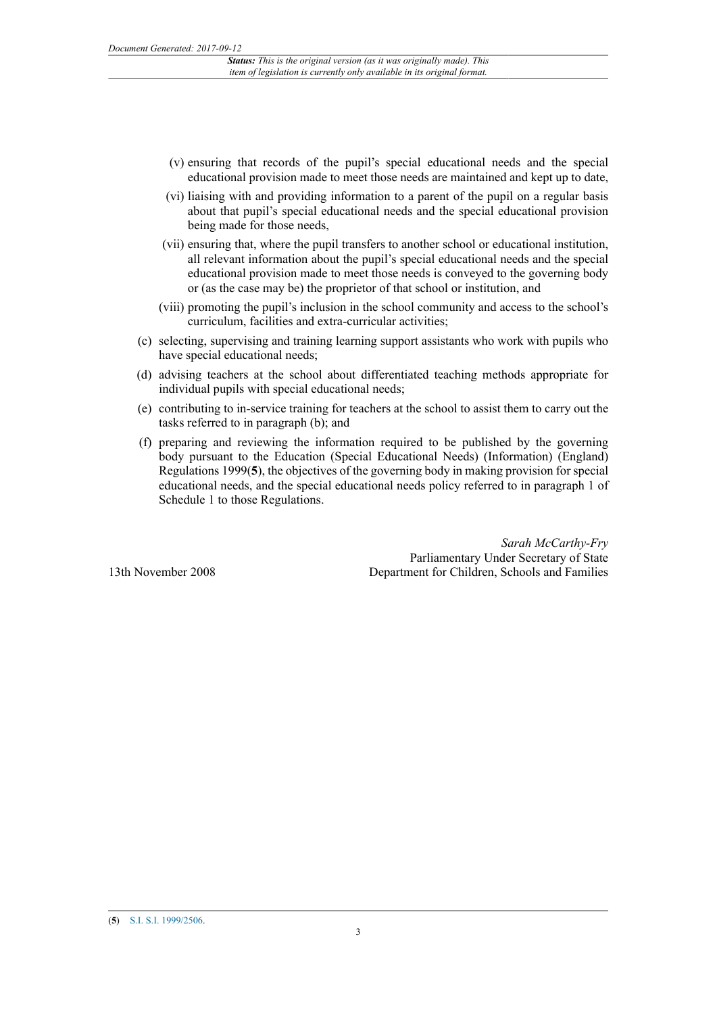- (v) ensuring that records of the pupil's special educational needs and the special educational provision made to meet those needs are maintained and kept up to date,
- (vi) liaising with and providing information to a parent of the pupil on a regular basis about that pupil's special educational needs and the special educational provision being made for those needs,
- (vii) ensuring that, where the pupil transfers to another school or educational institution, all relevant information about the pupil's special educational needs and the special educational provision made to meet those needs is conveyed to the governing body or (as the case may be) the proprietor of that school or institution, and
- (viii) promoting the pupil's inclusion in the school community and access to the school's curriculum, facilities and extra-curricular activities;
- (c) selecting, supervising and training learning support assistants who work with pupils who have special educational needs;
- (d) advising teachers at the school about differentiated teaching methods appropriate for individual pupils with special educational needs;
- (e) contributing to in-service training for teachers at the school to assist them to carry out the tasks referred to in paragraph (b); and
- (f) preparing and reviewing the information required to be published by the governing body pursuant to the Education (Special Educational Needs) (Information) (England) Regulations 1999(**5**), the objectives of the governing body in making provision for special educational needs, and the special educational needs policy referred to in paragraph 1 of Schedule 1 to those Regulations.

*Sarah McCarthy-Fry* Parliamentary Under Secretary of State Department for Children, Schools and Families

13th November 2008